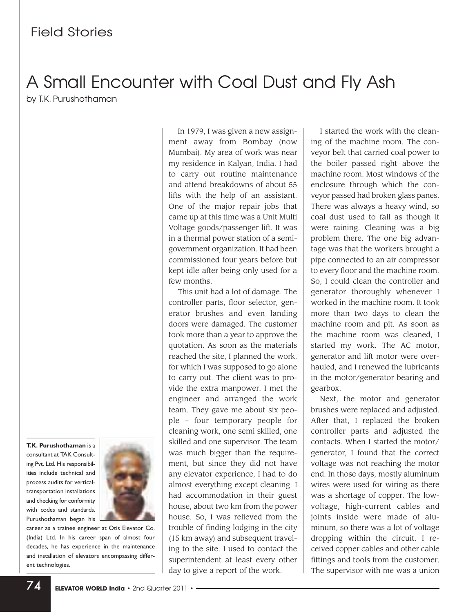## A Small Encounter with Coal Dust and Fly Ash by T.K. Purushothaman

**T.K. Purushothaman** isa consultant at TAK Consulting Pvt. Ltd. His responsibilities include technical and process audits for verticaltransportation installations and checking for conformity with codes and standards. Purushothaman began his



career as a trainee engineer at Otis Elevator Co. (India) Ltd. In his career span of almost four decades, he has experience in the maintenance and installation of elevators encompassing different technologies.

In 1979, I was given a new assignment away from Bombay (now Mumbai). My area of work was near my residence in Kalyan, India. I had to carry out routine maintenance and attend breakdowns of about 55 lifts with the help of an assistant. One of the major repair jobs that came up at this time was a Unit Multi Voltage goods/passenger lift. It was in a thermal power station of a semigovernment organization. It had been commissioned four years before but kept idle after being only used for a few months.

This unit had a lot of damage. The controller parts, floor selector, generator brushes and even landing doors were damaged. The customer took more than a year to approve the quotation. As soon as the materials reached the site, I planned the work, for which I was supposed to go alone to carry out. The client was to provide the extra manpower. I met the engineer and arranged the work team. They gave me about six people – four temporary people for cleaning work, one semi skilled, one skilled and one supervisor. The team was much bigger than the requirement, but since they did not have any elevator experience, I had to do almost everything except cleaning. I had accommodation in their guest house, about two km from the power house. So, I was relieved from the trouble of finding lodging in the city (15 km away) and subsequent traveling to the site. I used to contact the superintendent at least every other day to give a report of the work.

I started the work with the cleaning of the machine room. The conveyor belt that carried coal power to the boiler passed right above the machine room. Most windows of the enclosure through which the conveyor passed had broken glass panes. There was always a heavy wind, so coal dust used to fall as though it were raining. Cleaning was a big problem there. The one big advantage was that the workers brought a pipe connected to an air compressor to every floor and the machine room. So, I could clean the controller and generator thoroughly whenever I worked in the machine room. It took more than two days to clean the machine room and pit. As soon as the machine room was cleaned, I started my work. The AC motor, generator and lift motor were overhauled, and I renewed the lubricants in the motor/generator bearing and gearbox.

Next, the motor and generator brushes were replaced and adjusted. After that, I replaced the broken controller parts and adjusted the contacts. When I started the motor/ generator, I found that the correct voltage was not reaching the motor end. In those days, mostly aluminum wires were used for wiring as there was a shortage of copper. The lowvoltage, high-current cables and joints inside were made of aluminum, so there was a lot of voltage dropping within the circuit. I received copper cables and other cable fittings and tools from the customer. The supervisor with me was a union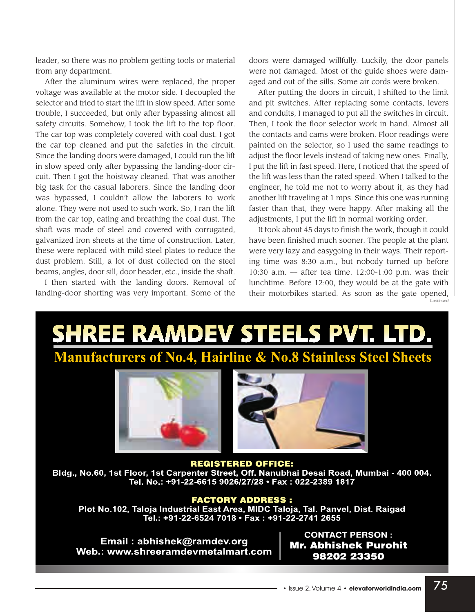leader, so there was no problem getting tools or material from any department.

After the aluminum wires were replaced, the proper voltage was available at the motor side. I decoupled the selector and tried to start the lift in slow speed. After some trouble, I succeeded, but only after bypassing almost all safety circuits. Somehow, I took the lift to the top floor. The car top was completely covered with coal dust. I got the car top cleaned and put the safeties in the circuit. Since the landing doors were damaged, I could run the lift in slow speed only after bypassing the landing-door circuit. Then I got the hoistway cleaned. That was another big task for the casual laborers. Since the landing door was bypassed, I couldn't allow the laborers to work alone. They were not used to such work. So, I ran the lift from the car top, eating and breathing the coal dust. The shaft was made of steel and covered with corrugated, galvanized iron sheets at the time of construction. Later, these were replaced with mild steel plates to reduce the dust problem. Still, a lot of dust collected on the steel beams, angles, door sill, door header, etc., inside the shaft.

I then started with the landing doors. Removal of landing-door shorting was very important. Some of the

doors were damaged willfully. Luckily, the door panels were not damaged. Most of the guide shoes were damaged and out of the sills. Some air cords were broken.

After putting the doors in circuit, I shifted to the limit and pit switches. After replacing some contacts, levers and conduits, I managed to put all the switches in circuit. Then, I took the floor selector work in hand. Almost all the contacts and cams were broken. Floor readings were painted on the selector, so I used the same readings to adjust the floor levels instead of taking new ones. Finally, I put the lift in fast speed. Here, I noticed that the speed of the lift was less than the rated speed. When I talked to the engineer, he told me not to worry about it, as they had another lift traveling at 1 mps. Since this one was running faster than that, they were happy. After making all the adjustments, I put the lift in normal working order.

It took about 45 days to finish the work, though it could have been finished much sooner. The people at the plant were very lazy and easygoing in their ways. Their reporting time was 8:30 a.m., but nobody turned up before 10:30 a.m. — after tea time. 12:00-1:00 p.m. was their lunchtime. Before 12:00, they would be at the gate with their motorbikes started. As soon as the gate opened,

# SHREE RAMDEV STEELS PVT. LTD. **Manufacturers of No.4, Hairline & No.8 Stainless Steel Sheets**



**REGISTERED OFFICE:** Bldg., No.60, 1st Floor, 1st Carpenter Street, Off. Nanubhai Desai Road, Mumbai - 400 004. Tel. No.: +91-22-6615 9026/27/28 · Fax: 022-2389 1817

#### **FACTORY ADDRESS:**

Plot No.102, Taloja Industrial East Area, MIDC Taloja, Tal. Panvel, Dist. Raigad Tel.: +91-22-6524 7018 · Fax: +91-22-2741 2655

Email: abhishek@ramdev.org Web.: www.shreeramdevmetalmart.com

**CONTACT PERSON: Mr. Abhishek Purohit** 98202 23350